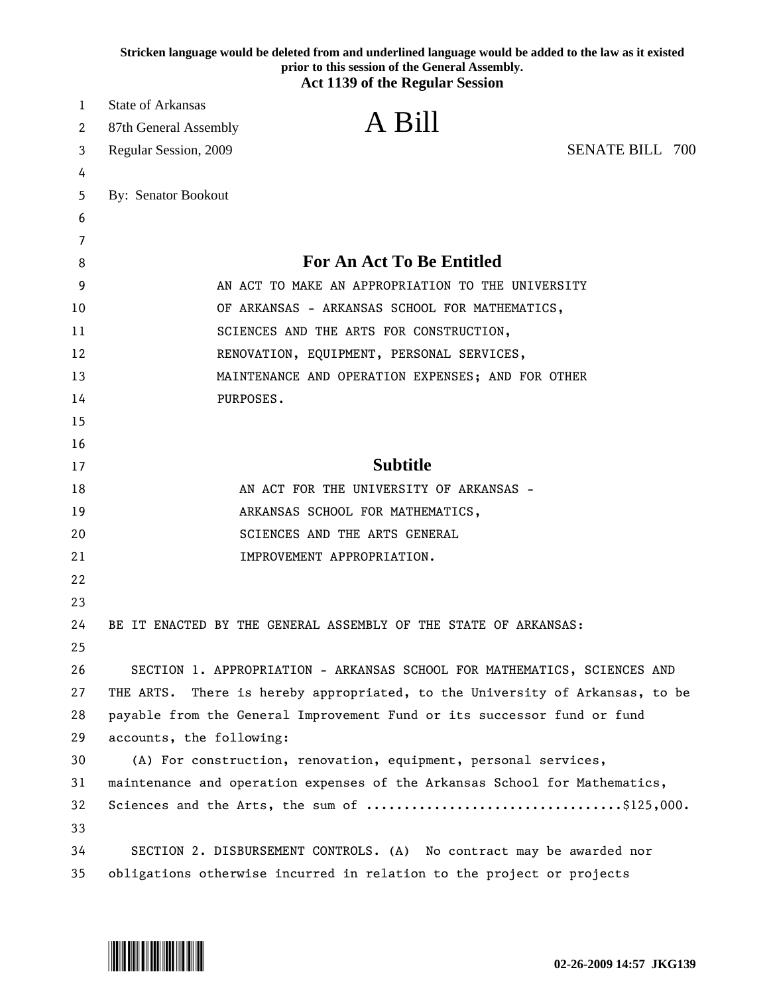|    | Stricken language would be deleted from and underlined language would be added to the law as it existed<br>prior to this session of the General Assembly.<br><b>Act 1139 of the Regular Session</b> |
|----|-----------------------------------------------------------------------------------------------------------------------------------------------------------------------------------------------------|
| 1  | <b>State of Arkansas</b>                                                                                                                                                                            |
| 2  | A Bill<br>87th General Assembly                                                                                                                                                                     |
| 3  | <b>SENATE BILL 700</b><br>Regular Session, 2009                                                                                                                                                     |
| 4  |                                                                                                                                                                                                     |
| 5  | By: Senator Bookout                                                                                                                                                                                 |
| 6  |                                                                                                                                                                                                     |
| 7  |                                                                                                                                                                                                     |
| 8  | <b>For An Act To Be Entitled</b>                                                                                                                                                                    |
| 9  | AN ACT TO MAKE AN APPROPRIATION TO THE UNIVERSITY                                                                                                                                                   |
| 10 | OF ARKANSAS - ARKANSAS SCHOOL FOR MATHEMATICS,                                                                                                                                                      |
| 11 | SCIENCES AND THE ARTS FOR CONSTRUCTION,                                                                                                                                                             |
| 12 | RENOVATION, EQUIPMENT, PERSONAL SERVICES,                                                                                                                                                           |
| 13 | MAINTENANCE AND OPERATION EXPENSES; AND FOR OTHER                                                                                                                                                   |
| 14 | PURPOSES.                                                                                                                                                                                           |
| 15 |                                                                                                                                                                                                     |
| 16 |                                                                                                                                                                                                     |
| 17 | <b>Subtitle</b>                                                                                                                                                                                     |
| 18 | AN ACT FOR THE UNIVERSITY OF ARKANSAS -                                                                                                                                                             |
| 19 | ARKANSAS SCHOOL FOR MATHEMATICS,                                                                                                                                                                    |
| 20 | SCIENCES AND THE ARTS GENERAL                                                                                                                                                                       |
| 21 | IMPROVEMENT APPROPRIATION.                                                                                                                                                                          |
| 22 |                                                                                                                                                                                                     |
| 23 |                                                                                                                                                                                                     |
| 24 | BE IT ENACTED BY THE GENERAL ASSEMBLY OF THE STATE OF ARKANSAS:                                                                                                                                     |
| 25 |                                                                                                                                                                                                     |
| 26 | SECTION 1. APPROPRIATION - ARKANSAS SCHOOL FOR MATHEMATICS, SCIENCES AND                                                                                                                            |
| 27 | THE ARTS. There is hereby appropriated, to the University of Arkansas, to be                                                                                                                        |
| 28 | payable from the General Improvement Fund or its successor fund or fund                                                                                                                             |
| 29 | accounts, the following:                                                                                                                                                                            |
| 30 | (A) For construction, renovation, equipment, personal services,                                                                                                                                     |
| 31 | maintenance and operation expenses of the Arkansas School for Mathematics,                                                                                                                          |
| 32 |                                                                                                                                                                                                     |
| 33 |                                                                                                                                                                                                     |
| 34 | SECTION 2. DISBURSEMENT CONTROLS. (A) No contract may be awarded nor                                                                                                                                |
| 35 | obligations otherwise incurred in relation to the project or projects                                                                                                                               |

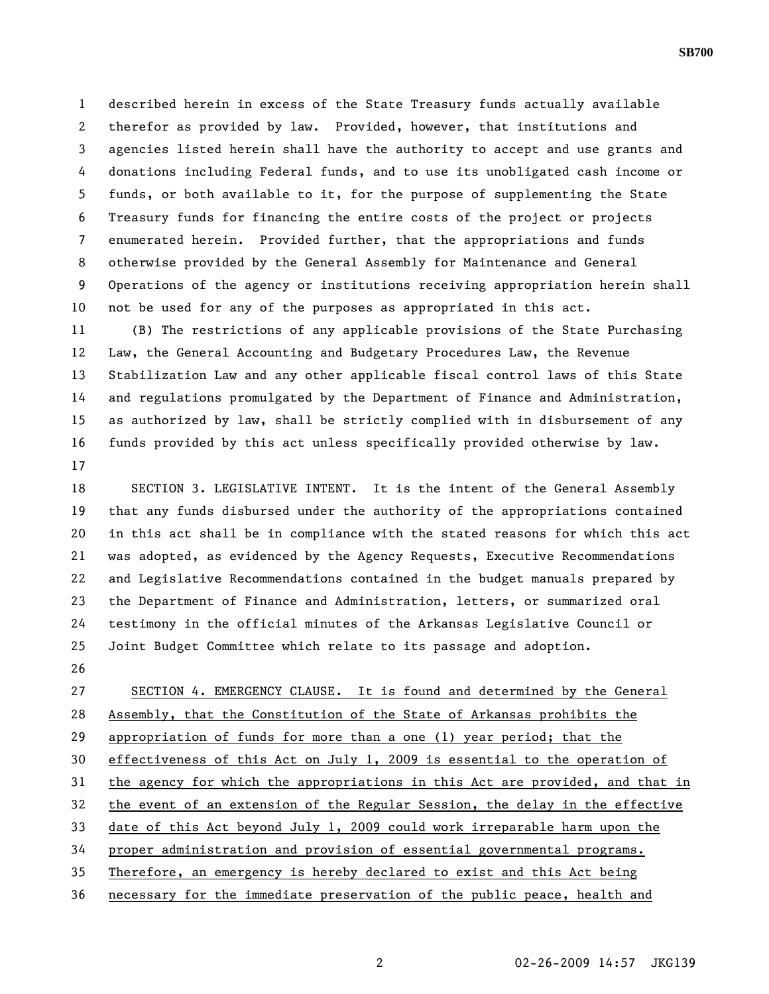1 described herein in excess of the State Treasury funds actually available 2 therefor as provided by law. Provided, however, that institutions and 3 agencies listed herein shall have the authority to accept and use grants and 4 donations including Federal funds, and to use its unobligated cash income or 5 funds, or both available to it, for the purpose of supplementing the State 6 Treasury funds for financing the entire costs of the project or projects 7 enumerated herein. Provided further, that the appropriations and funds 8 otherwise provided by the General Assembly for Maintenance and General 9 Operations of the agency or institutions receiving appropriation herein shall 10 not be used for any of the purposes as appropriated in this act.

11 (B) The restrictions of any applicable provisions of the State Purchasing 12 Law, the General Accounting and Budgetary Procedures Law, the Revenue 13 Stabilization Law and any other applicable fiscal control laws of this State 14 and regulations promulgated by the Department of Finance and Administration, 15 as authorized by law, shall be strictly complied with in disbursement of any 16 funds provided by this act unless specifically provided otherwise by law. 17

18 SECTION 3. LEGISLATIVE INTENT. It is the intent of the General Assembly 19 that any funds disbursed under the authority of the appropriations contained 20 in this act shall be in compliance with the stated reasons for which this act 21 was adopted, as evidenced by the Agency Requests, Executive Recommendations 22 and Legislative Recommendations contained in the budget manuals prepared by 23 the Department of Finance and Administration, letters, or summarized oral 24 testimony in the official minutes of the Arkansas Legislative Council or 25 Joint Budget Committee which relate to its passage and adoption.

26

27 SECTION 4. EMERGENCY CLAUSE. It is found and determined by the General 28 Assembly, that the Constitution of the State of Arkansas prohibits the 29 appropriation of funds for more than a one (1) year period; that the 30 effectiveness of this Act on July 1, 2009 is essential to the operation of 31 the agency for which the appropriations in this Act are provided, and that in 32 the event of an extension of the Regular Session, the delay in the effective 33 date of this Act beyond July 1, 2009 could work irreparable harm upon the 34 proper administration and provision of essential governmental programs. 35 Therefore, an emergency is hereby declared to exist and this Act being 36 necessary for the immediate preservation of the public peace, health and